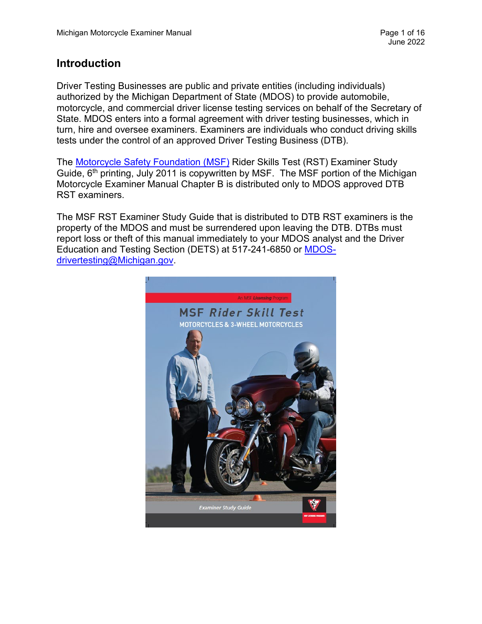## **Introduction**

Driver Testing Businesses are public and private entities (including individuals) authorized by the Michigan Department of State (MDOS) to provide automobile, motorcycle, and commercial driver license testing services on behalf of the Secretary of State. MDOS enters into a formal agreement with driver testing businesses, which in turn, hire and oversee examiners. Examiners are individuals who conduct driving skills tests under the control of an approved Driver Testing Business (DTB).

The [Motorcycle Safety Foundation \(MSF\)](https://www.msf-usa.org/) Rider Skills Test (RST) Examiner Study Guide, 6<sup>th</sup> printing, July 2011 is copywritten by MSF. The MSF portion of the Michigan Motorcycle Examiner Manual Chapter B is distributed only to MDOS approved DTB RST examiners.

The MSF RST Examiner Study Guide that is distributed to DTB RST examiners is the property of the MDOS and must be surrendered upon leaving the DTB. DTBs must report loss or theft of this manual immediately to your MDOS analyst and the Driver Education and Testing Section (DETS) at 517-241-6850 or [MDOS](mailto:MDOS-drivertesting@Michigan.gov)[drivertesting@Michigan.gov.](mailto:MDOS-drivertesting@Michigan.gov)

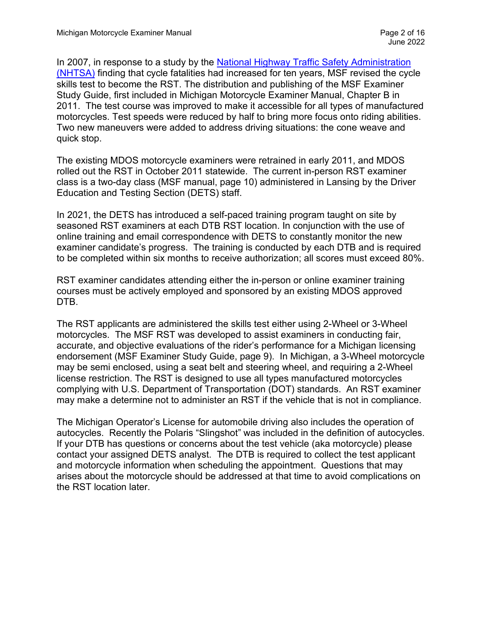In 2007, in response to a study by the [National Highway Traffic Safety Administration](https://www.nhtsa.gov/)  [\(NHTSA\)](https://www.nhtsa.gov/) finding that cycle fatalities had increased for ten years, MSF revised the cycle skills test to become the RST. The distribution and publishing of the MSF Examiner Study Guide, first included in Michigan Motorcycle Examiner Manual, Chapter B in 2011. The test course was improved to make it accessible for all types of manufactured motorcycles. Test speeds were reduced by half to bring more focus onto riding abilities. Two new maneuvers were added to address driving situations: the cone weave and quick stop.

The existing MDOS motorcycle examiners were retrained in early 2011, and MDOS rolled out the RST in October 2011 statewide. The current in-person RST examiner class is a two-day class (MSF manual, page 10) administered in Lansing by the Driver Education and Testing Section (DETS) staff.

In 2021, the DETS has introduced a self-paced training program taught on site by seasoned RST examiners at each DTB RST location. In conjunction with the use of online training and email correspondence with DETS to constantly monitor the new examiner candidate's progress. The training is conducted by each DTB and is required to be completed within six months to receive authorization; all scores must exceed 80%.

RST examiner candidates attending either the in-person or online examiner training courses must be actively employed and sponsored by an existing MDOS approved DTB.

The RST applicants are administered the skills test either using 2-Wheel or 3-Wheel motorcycles. The MSF RST was developed to assist examiners in conducting fair, accurate, and objective evaluations of the rider's performance for a Michigan licensing endorsement (MSF Examiner Study Guide, page 9). In Michigan, a 3-Wheel motorcycle may be semi enclosed, using a seat belt and steering wheel, and requiring a 2-Wheel license restriction. The RST is designed to use all types manufactured motorcycles complying with U.S. Department of Transportation (DOT) standards. An RST examiner may make a determine not to administer an RST if the vehicle that is not in compliance.

The Michigan Operator's License for automobile driving also includes the operation of autocycles. Recently the Polaris "Slingshot" was included in the definition of autocycles. If your DTB has questions or concerns about the test vehicle (aka motorcycle) please contact your assigned DETS analyst. The DTB is required to collect the test applicant and motorcycle information when scheduling the appointment. Questions that may arises about the motorcycle should be addressed at that time to avoid complications on the RST location later.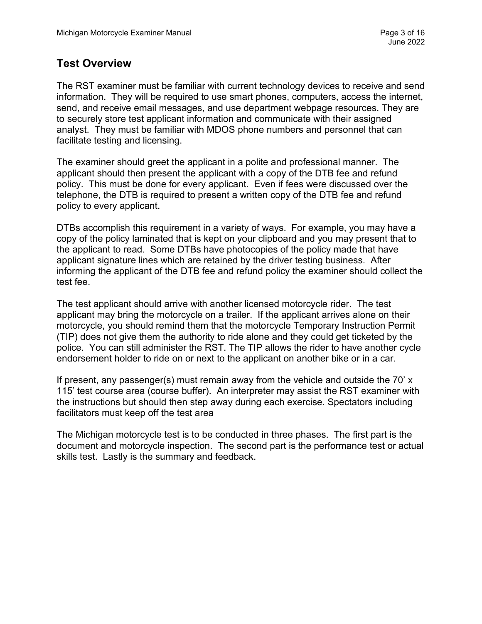## **Test Overview**

The RST examiner must be familiar with current technology devices to receive and send information. They will be required to use smart phones, computers, access the internet, send, and receive email messages, and use department webpage resources. They are to securely store test applicant information and communicate with their assigned analyst. They must be familiar with MDOS phone numbers and personnel that can facilitate testing and licensing.

The examiner should greet the applicant in a polite and professional manner. The applicant should then present the applicant with a copy of the DTB fee and refund policy. This must be done for every applicant. Even if fees were discussed over the telephone, the DTB is required to present a written copy of the DTB fee and refund policy to every applicant.

DTBs accomplish this requirement in a variety of ways. For example, you may have a copy of the policy laminated that is kept on your clipboard and you may present that to the applicant to read. Some DTBs have photocopies of the policy made that have applicant signature lines which are retained by the driver testing business. After informing the applicant of the DTB fee and refund policy the examiner should collect the test fee.

The test applicant should arrive with another licensed motorcycle rider. The test applicant may bring the motorcycle on a trailer. If the applicant arrives alone on their motorcycle, you should remind them that the motorcycle Temporary Instruction Permit (TIP) does not give them the authority to ride alone and they could get ticketed by the police. You can still administer the RST. The TIP allows the rider to have another cycle endorsement holder to ride on or next to the applicant on another bike or in a car.

If present, any passenger(s) must remain away from the vehicle and outside the 70' x 115' test course area (course buffer). An interpreter may assist the RST examiner with the instructions but should then step away during each exercise. Spectators including facilitators must keep off the test area

The Michigan motorcycle test is to be conducted in three phases. The first part is the document and motorcycle inspection. The second part is the performance test or actual skills test. Lastly is the summary and feedback.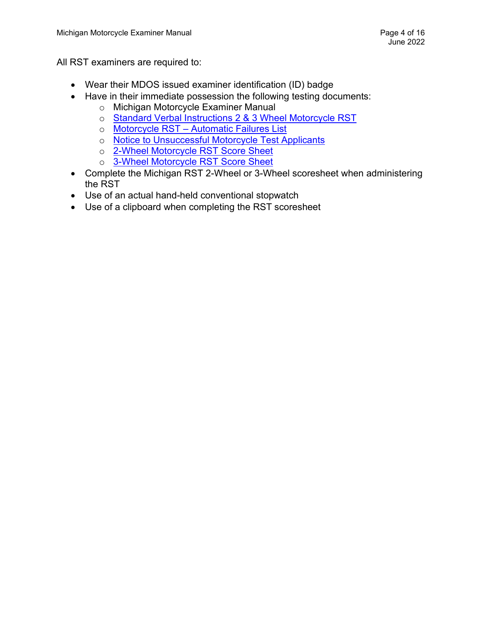All RST examiners are required to:

- Wear their MDOS issued examiner identification (ID) badge
- Have in their immediate possession the following testing documents:
	- o Michigan Motorcycle Examiner Manual
	- o [Standard Verbal Instructions 2 & 3 Wheel Motorcycle RST](https://www.michigan.gov/sos/-/media/Project/Websites/sos/05preston/MI_RST_2_and_3-Wheel_Motorcycle_Instructions_with_Diagram.pdf?rev=e641be0c783b42fa993fda156779ea54&hash=BE70DBA083D9F5738977DD0AFDF7E36B)
	- o [Motorcycle RST Automatic Failures List](https://www.michigan.gov/documents/sos/MI_RST_Automatic_Failures_List_690656_7.pdf)
	- o [Notice to Unsuccessful Motorcycle Test Applicants](https://www.michigan.gov/documents/sos/Notice_to_unsuccessful_motorcycle_test_applicants_358693_7.pdf)
	- o [2-Wheel Motorcycle RST Score Sheet](https://www.michigan.gov/documents/sos/MI_RST_2-Wheel_score_sheet_06032011_355541_7.pdf)
	- o [3-Wheel Motorcycle RST Score Sheet](https://www.michigan.gov/documents/sos/MI_RST_3-Wheel_score_sheet_06032011_355542_7.pdf)
- Complete the Michigan RST 2-Wheel or 3-Wheel scoresheet when administering the RST
- Use of an actual hand-held conventional stopwatch
- Use of a clipboard when completing the RST scoresheet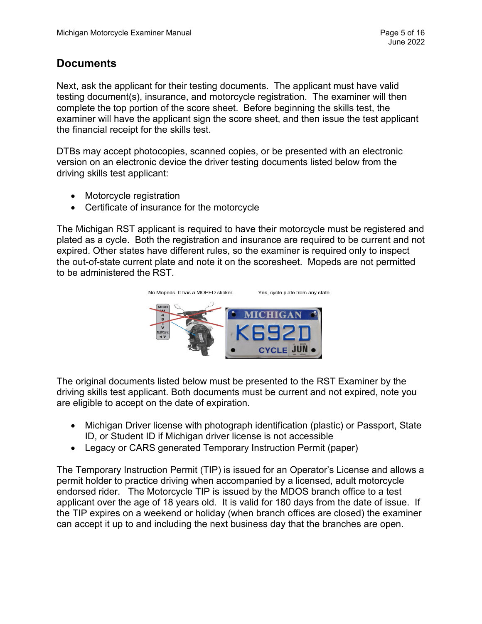## **Documents**

Next, ask the applicant for their testing documents. The applicant must have valid testing document(s), insurance, and motorcycle registration. The examiner will then complete the top portion of the score sheet. Before beginning the skills test, the examiner will have the applicant sign the score sheet, and then issue the test applicant the financial receipt for the skills test.

DTBs may accept photocopies, scanned copies, or be presented with an electronic version on an electronic device the driver testing documents listed below from the driving skills test applicant:

- Motorcycle registration
- Certificate of insurance for the motorcycle

The Michigan RST applicant is required to have their motorcycle must be registered and plated as a cycle. Both the registration and insurance are required to be current and not expired. Other states have different rules, so the examiner is required only to inspect the out-of-state current plate and note it on the scoresheet. Mopeds are not permitted to be administered the RST.



The original documents listed below must be presented to the RST Examiner by the driving skills test applicant. Both documents must be current and not expired, note you are eligible to accept on the date of expiration.

- Michigan Driver license with photograph identification (plastic) or Passport, State ID, or Student ID if Michigan driver license is not accessible
- Legacy or CARS generated Temporary Instruction Permit (paper)

The Temporary Instruction Permit (TIP) is issued for an Operator's License and allows a permit holder to practice driving when accompanied by a licensed, adult motorcycle endorsed rider. The Motorcycle TIP is issued by the MDOS branch office to a test applicant over the age of 18 years old. It is valid for 180 days from the date of issue. If the TIP expires on a weekend or holiday (when branch offices are closed) the examiner can accept it up to and including the next business day that the branches are open.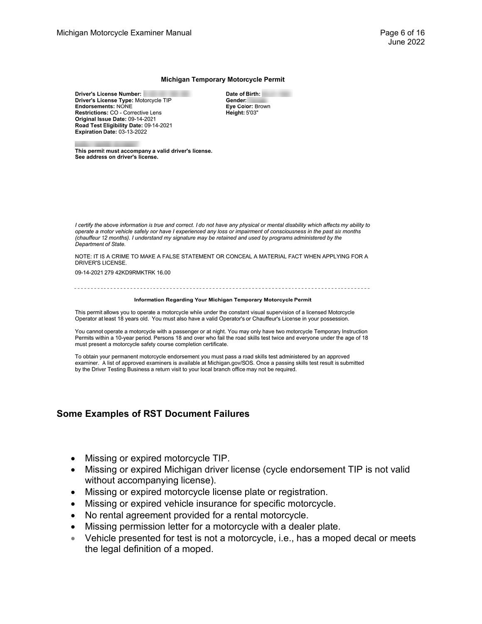#### Michigan Temporary Motorcycle Permit

Driver's License Number: Driver's License Type: Motorcycle TIP Endorsements: NONE Restrictions: CO - Corrective Lens Original Issue Date: 09-14-2021 Road Test Eligibility Date: 09-14-2021 Expiration Date: 03-13-2022

Date of Birth: Gender: Eye Color: Brown Height: 5'03"

This permit must accompany a valid driver's license. See address on driver's license.

I certify the above information is true and correct. I do not have any physical or mental disability which affects my ability to operate a motor vehicle safely nor have I experienced any loss or impairment of consciousness in the past six months (chauffeur 12 months). I understand my signature may be retained and used by programs administered by the Department of State.

NOTE: IT IS A CRIME TO MAKE A FALSE STATEMENT OR CONCEAL A MATERIAL FACT WHEN APPLYING FOR A DRIVER'S LICENSE.

09-14-2021 279 42KD9RMKTRK 16.00

#### Information Regarding Your Michigan Temporary Motorcycle Permit

This permit allows you to operate a motorcycle while under the constant visual supervision of a licensed Motorcycle Operator at least 18 years old. You must also have a valid Operator's or Chauffeur's License in your possession.

You cannot operate a motorcycle with a passenger or at night. You may only have two motorcycle Temporary Instruction Permits within a 10-year period. Persons 18 and over who fail the road skills test twice and everyone under the age of 18 must present a motorcycle safety course completion certificate.

To obtain your permanent motorcycle endorsement you must pass a road skills test administered by an approved examiner. A list of approved examiners is available at Michigan.gov/SOS. Once a passing skills test result is submitted by the Driver Testing Business a return visit to your local branch office may not be required.

### **Some Examples of RST Document Failures**

- Missing or expired motorcycle TIP.
- Missing or expired Michigan driver license (cycle endorsement TIP is not valid without accompanying license).
- Missing or expired motorcycle license plate or registration.
- Missing or expired vehicle insurance for specific motorcycle.
- No rental agreement provided for a rental motorcycle.
- Missing permission letter for a motorcycle with a dealer plate.
- Vehicle presented for test is not a motorcycle, i.e., has a moped decal or meets the legal definition of a moped.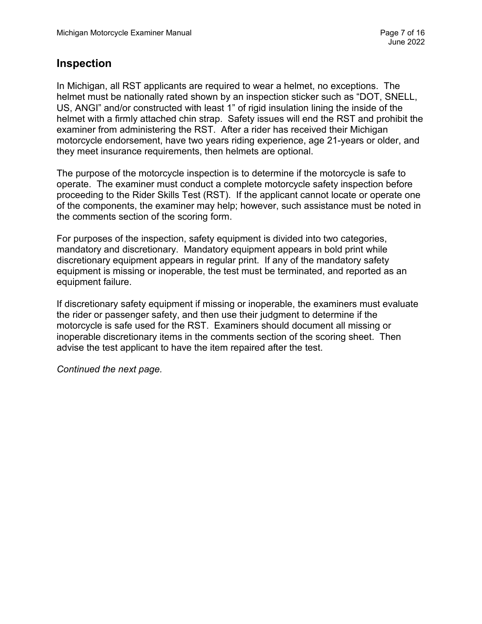## **Inspection**

In Michigan, all RST applicants are required to wear a helmet, no exceptions. The helmet must be nationally rated shown by an inspection sticker such as "DOT, SNELL, US, ANGI" and/or constructed with least 1" of rigid insulation lining the inside of the helmet with a firmly attached chin strap. Safety issues will end the RST and prohibit the examiner from administering the RST. After a rider has received their Michigan motorcycle endorsement, have two years riding experience, age 21-years or older, and they meet insurance requirements, then helmets are optional.

The purpose of the motorcycle inspection is to determine if the motorcycle is safe to operate. The examiner must conduct a complete motorcycle safety inspection before proceeding to the Rider Skills Test (RST). If the applicant cannot locate or operate one of the components, the examiner may help; however, such assistance must be noted in the comments section of the scoring form.

For purposes of the inspection, safety equipment is divided into two categories, mandatory and discretionary. Mandatory equipment appears in bold print while discretionary equipment appears in regular print. If any of the mandatory safety equipment is missing or inoperable, the test must be terminated, and reported as an equipment failure.

If discretionary safety equipment if missing or inoperable, the examiners must evaluate the rider or passenger safety, and then use their judgment to determine if the motorcycle is safe used for the RST. Examiners should document all missing or inoperable discretionary items in the comments section of the scoring sheet. Then advise the test applicant to have the item repaired after the test.

*Continued the next page.*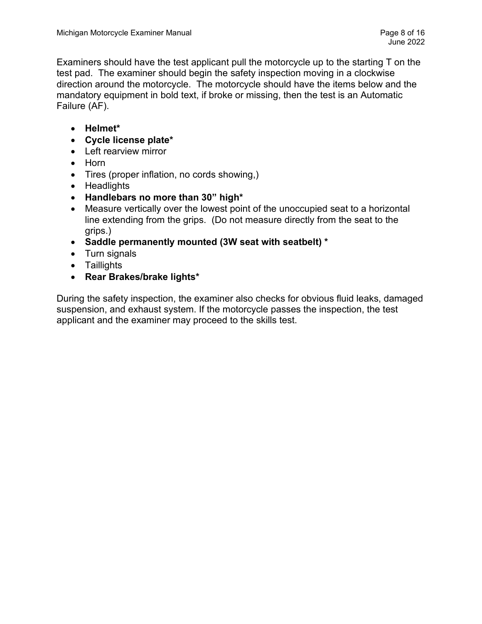Examiners should have the test applicant pull the motorcycle up to the starting T on the test pad. The examiner should begin the safety inspection moving in a clockwise direction around the motorcycle. The motorcycle should have the items below and the mandatory equipment in bold text, if broke or missing, then the test is an Automatic Failure (AF).

- **Helmet\***
- **Cycle license plate\***
- Left rearview mirror
- Horn
- Tires (proper inflation, no cords showing,)
- Headlights
- **Handlebars no more than 30" high\***
- Measure vertically over the lowest point of the unoccupied seat to a horizontal line extending from the grips. (Do not measure directly from the seat to the grips.)
- **Saddle permanently mounted (3W seat with seatbelt) \***
- Turn signals
- Taillights
- **Rear Brakes/brake lights\***

During the safety inspection, the examiner also checks for obvious fluid leaks, damaged suspension, and exhaust system. If the motorcycle passes the inspection, the test applicant and the examiner may proceed to the skills test.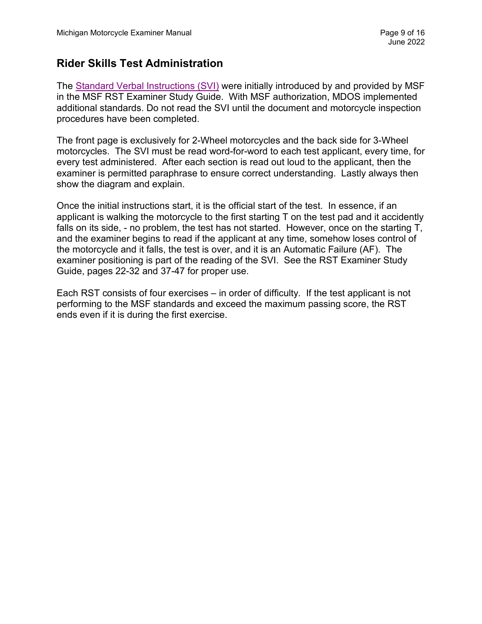# **Rider Skills Test Administration**

The [Standard Verbal Instructions \(SVI\)](https://www.michigan.gov/sos/-/media/Project/Websites/sos/05preston/MI_RST_2_and_3-Wheel_Motorcycle_Instructions_with_Diagram.pdf?rev=e641be0c783b42fa993fda156779ea54&hash=BE70DBA083D9F5738977DD0AFDF7E36B) were initially introduced by and provided by MSF in the MSF RST Examiner Study Guide. With MSF authorization, MDOS implemented additional standards. Do not read the SVI until the document and motorcycle inspection procedures have been completed.

The front page is exclusively for 2-Wheel motorcycles and the back side for 3-Wheel motorcycles. The SVI must be read word-for-word to each test applicant, every time, for every test administered. After each section is read out loud to the applicant, then the examiner is permitted paraphrase to ensure correct understanding. Lastly always then show the diagram and explain.

Once the initial instructions start, it is the official start of the test. In essence, if an applicant is walking the motorcycle to the first starting T on the test pad and it accidently falls on its side, - no problem, the test has not started. However, once on the starting T, and the examiner begins to read if the applicant at any time, somehow loses control of the motorcycle and it falls, the test is over, and it is an Automatic Failure (AF). The examiner positioning is part of the reading of the SVI. See the RST Examiner Study Guide, pages 22-32 and 37-47 for proper use.

Each RST consists of four exercises – in order of difficulty. If the test applicant is not performing to the MSF standards and exceed the maximum passing score, the RST ends even if it is during the first exercise.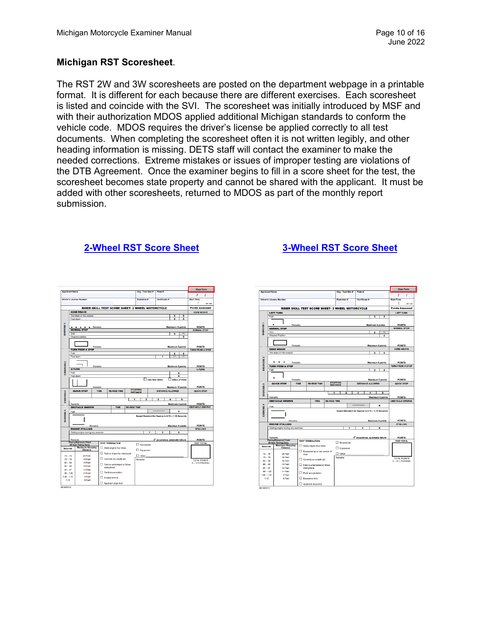## **Michigan RST Scoresheet**.

The RST 2W and 3W scoresheets are posted on the department webpage in a printable format. It is different for each because there are different exercises. Each scoresheet is listed and coincide with the SVI. The scoresheet was initially introduced by MSF and with their authorization MDOS applied additional Michigan standards to conform the vehicle code. MDOS requires the driver's license be applied correctly to all test documents. When completing the scoresheet often it is not written legibly, and other heading information is missing. DETS staff will contact the examiner to make the needed corrections. Extreme mistakes or issues of improper testing are violations of the DTB Agreement. Once the examiner begins to fill in a score sheet for the test, the scoresheet becomes state property and cannot be shared with the applicant. It must be added with other scoresheets, returned to MDOS as part of the monthly report submission.

## **[2-Wheel RST Score Sheet](https://www.michigan.gov/documents/sos/MI_RST_2-Wheel_score_sheet_06032011_355541_7.pdf) [3-Wheel RST Score Sheet](https://www.michigan.gov/documents/sos/MI_RST_3-Wheel_score_sheet_06032011_355542_7.pdf)**

|                            |                                                               |                                                |         |                                                                   |                                      |                                                  |                     |                                                  |                          |                      |                                  | <b>Clear Form</b>                        |  |  |
|----------------------------|---------------------------------------------------------------|------------------------------------------------|---------|-------------------------------------------------------------------|--------------------------------------|--------------------------------------------------|---------------------|--------------------------------------------------|--------------------------|----------------------|----------------------------------|------------------------------------------|--|--|
| <b>Applicant Name</b>      |                                                               |                                                |         |                                                                   |                                      | Org - Test Site #                                |                     | Plate #                                          |                          |                      | 1                                |                                          |  |  |
|                            |                                                               |                                                |         |                                                                   |                                      |                                                  |                     |                                                  |                          |                      | <b>Start Time</b>                | ı                                        |  |  |
|                            |                                                               | <b>Driver's License Number</b>                 |         |                                                                   |                                      |                                                  | <b>Examiner #</b>   |                                                  | <b>Certificate #</b>     |                      |                                  |                                          |  |  |
|                            |                                                               |                                                |         |                                                                   |                                      |                                                  |                     |                                                  |                          |                      | am / pm                          |                                          |  |  |
|                            |                                                               |                                                |         |                                                                   |                                      | RIDER SKILL TEST SCORE SHEET- 2 WHEEL MOTORCYCLE |                     |                                                  |                          |                      | <b>Points Assessed</b>           |                                          |  |  |
|                            | <b>CONE WEAVE</b>                                             |                                                |         |                                                                   |                                      |                                                  |                     |                                                  |                          |                      | <b>CONE WEAVE</b>                |                                          |  |  |
|                            | Tire skips or hits cone(s)<br>3<br>5                          |                                                |         |                                                                   |                                      |                                                  |                     |                                                  |                          |                      |                                  |                                          |  |  |
|                            | Foot down<br>5<br>п                                           |                                                |         |                                                                   |                                      |                                                  |                     |                                                  |                          |                      |                                  |                                          |  |  |
|                            |                                                               |                                                |         |                                                                   |                                      |                                                  |                     |                                                  |                          |                      |                                  |                                          |  |  |
|                            |                                                               | A A A A Remarks                                |         |                                                                   |                                      |                                                  |                     |                                                  | <b>Maximum 10 points</b> |                      | <b>POINTS</b>                    |                                          |  |  |
| <b>EXERCISE 1</b>          | <b>NORMAL STOP</b>                                            |                                                |         |                                                                   |                                      |                                                  |                     |                                                  |                          |                      | <b>NORMAL STOP</b>               |                                          |  |  |
|                            | Skid                                                          |                                                |         |                                                                   |                                      |                                                  |                     |                                                  | 3                        | $\ddot{\phantom{a}}$ |                                  |                                          |  |  |
|                            |                                                               | Stopped position                               |         |                                                                   |                                      |                                                  |                     |                                                  |                          | в                    |                                  |                                          |  |  |
|                            |                                                               |                                                |         |                                                                   |                                      |                                                  |                     |                                                  |                          |                      |                                  |                                          |  |  |
|                            |                                                               |                                                |         |                                                                   |                                      |                                                  |                     |                                                  |                          |                      |                                  |                                          |  |  |
|                            | <b>Maximum 8 points</b><br>Remarks<br><b>TURN FROM A STOP</b> |                                                |         |                                                                   |                                      |                                                  |                     |                                                  |                          |                      |                                  | <b>POINTS</b><br><b>TURN FROM A STOP</b> |  |  |
|                            | Path<br>з<br>5                                                |                                                |         |                                                                   |                                      |                                                  |                     |                                                  |                          |                      |                                  |                                          |  |  |
|                            |                                                               | Foot down                                      |         |                                                                   |                                      |                                                  |                     | Ŧ                                                |                          | $\overline{\cdots}$  |                                  |                                          |  |  |
|                            |                                                               |                                                |         |                                                                   |                                      |                                                  |                     |                                                  |                          |                      |                                  |                                          |  |  |
| <b>EXEERCISE2</b>          |                                                               |                                                |         |                                                                   |                                      |                                                  |                     |                                                  |                          |                      |                                  |                                          |  |  |
|                            |                                                               |                                                | Remarks |                                                                   |                                      |                                                  |                     |                                                  | <b>Maximum 6 points</b>  |                      | <b>POINTS</b>                    |                                          |  |  |
|                            | <b>U-TURN</b>                                                 |                                                |         |                                                                   |                                      |                                                  |                     |                                                  |                          |                      | <b>U-TURN</b>                    |                                          |  |  |
|                            | Path                                                          |                                                |         |                                                                   |                                      |                                                  |                     |                                                  |                          | s                    |                                  |                                          |  |  |
|                            | Foot down<br>$\overline{\phantom{a}}$<br>$\Box$ 600cc or more |                                                |         |                                                                   |                                      |                                                  |                     |                                                  |                          |                      |                                  |                                          |  |  |
|                            | less than 600cc                                               |                                                |         |                                                                   |                                      |                                                  |                     |                                                  |                          |                      |                                  |                                          |  |  |
|                            | Remarks<br>Maximum 10 points                                  |                                                |         |                                                                   |                                      |                                                  |                     |                                                  |                          |                      |                                  | <b>POINTS</b>                            |  |  |
|                            |                                                               |                                                | TIME    | <b>STOPPING</b><br><b>RE-RIDE TIME</b><br><b>DISTANCE ALLOWED</b> |                                      |                                                  |                     |                                                  |                          |                      | QUICK STOP                       |                                          |  |  |
|                            |                                                               | <b>QUICK STOP</b>                              |         |                                                                   |                                      | <b>DISTANCE</b>                                  |                     |                                                  |                          |                      |                                  |                                          |  |  |
| <b>EXERCISE3</b>           |                                                               |                                                |         |                                                                   |                                      |                                                  |                     |                                                  |                          |                      |                                  |                                          |  |  |
|                            | $\overline{\mathbf{z}}$<br>3<br>4<br>1<br>s                   |                                                |         |                                                                   |                                      |                                                  |                     |                                                  |                          |                      |                                  |                                          |  |  |
|                            | Remarks<br><b>Maximum 5 points</b>                            |                                                |         |                                                                   |                                      |                                                  |                     |                                                  |                          | <b>POINTS</b>        |                                  |                                          |  |  |
|                            |                                                               | <b>OBSTACLE SWERVE</b>                         |         | TIME                                                              |                                      | <b>RE-RIDE TIME</b>                              |                     |                                                  |                          |                      | <b>OBSTACLE SWERVE</b>           |                                          |  |  |
| ٠                          | Path                                                          |                                                |         |                                                                   |                                      |                                                  |                     |                                                  | $\blacksquare$           |                      |                                  |                                          |  |  |
|                            |                                                               |                                                |         |                                                                   |                                      |                                                  |                     | Speed Standard for Swerve is 0.72 - 1.15 Seconds |                          |                      |                                  |                                          |  |  |
| <b>IXERCISE</b>            |                                                               |                                                |         |                                                                   |                                      |                                                  |                     |                                                  |                          |                      |                                  |                                          |  |  |
|                            |                                                               |                                                |         |                                                                   |                                      |                                                  |                     |                                                  |                          |                      |                                  |                                          |  |  |
|                            |                                                               |                                                | Remarks |                                                                   |                                      |                                                  |                     |                                                  | <b>Maximum 5 points</b>  |                      | <b>POINTS</b><br><b>STALLING</b> |                                          |  |  |
|                            | <b>ENGINE STALLING</b>                                        |                                                |         |                                                                   |                                      |                                                  |                     |                                                  |                          |                      |                                  |                                          |  |  |
|                            | 5<br>Stalling engine during any exercise<br>٦<br>3            |                                                |         |                                                                   |                                      |                                                  |                     |                                                  |                          |                      |                                  |                                          |  |  |
|                            | Remarks                                                       |                                                |         |                                                                   |                                      |                                                  |                     | 4 <sup>2</sup> occurrence, automatic failure     |                          |                      | <b>POINTS</b>                    |                                          |  |  |
|                            |                                                               | <b>Timing/Distance Chart</b>                   |         | <b>TEST TERMINATION</b>                                           |                                      |                                                  |                     |                                                  |                          |                      | <b>TEST TOTAL</b>                |                                          |  |  |
|                            |                                                               | 20 foot Timing Zone<br><b>Maximum Stopping</b> |         |                                                                   |                                      |                                                  | $\square$ Documents |                                                  |                          |                      |                                  |                                          |  |  |
| <b>Seconds</b>             |                                                               | <b>Distance</b>                                |         | $\Box$ Stalls engine four times                                   |                                      |                                                  | $\square$ Equipment |                                                  |                          |                      |                                  |                                          |  |  |
|                            |                                                               |                                                |         | $\Box$ Falls or drops the motorcycle                              |                                      |                                                  |                     |                                                  |                          |                      |                                  |                                          |  |  |
| $72 - 75$                  |                                                               | 20 Feet                                        |         |                                                                   |                                      |                                                  | $\square$ Oher:     |                                                  |                          |                      |                                  |                                          |  |  |
| $.76 - .79$<br>$.80 - .84$ |                                                               | 18 Feet<br>16 Feet                             |         |                                                                   | Commits an unsafe act                |                                                  | Remarks             |                                                  |                          |                      | <b>TOTAL POINTS</b>              |                                          |  |  |
| $85 - 90$                  |                                                               | 14 Feet                                        |         |                                                                   | $\Box$ Fails to understand or follow |                                                  |                     |                                                  |                          |                      | $0 - 10 = PASSING$               |                                          |  |  |
| $.91 - .97$                |                                                               | 13 Feet                                        |         | instructions                                                      |                                      |                                                  |                     |                                                  |                          |                      |                                  |                                          |  |  |
|                            |                                                               | 11 Feet                                        |         | $\Box$ Point accumulation                                         |                                      |                                                  |                     |                                                  |                          |                      |                                  |                                          |  |  |
| $.98 - 1.05$               |                                                               | 9 Feet                                         |         |                                                                   |                                      |                                                  |                     |                                                  |                          |                      |                                  |                                          |  |  |
| $1.06 - 1.14$              |                                                               |                                                |         |                                                                   |                                      |                                                  |                     |                                                  |                          |                      |                                  |                                          |  |  |
|                            |                                                               |                                                |         | <b>Expensive time</b>                                             |                                      |                                                  |                     |                                                  |                          |                      |                                  |                                          |  |  |
| 1.15                       |                                                               | 8 Feet                                         |         | Applicant stops test                                              |                                      |                                                  |                     |                                                  |                          |                      |                                  |                                          |  |  |

|                                                  | <b>Applicant Name</b>                             |             |                                           |                                                 |                     | Org - Test Site #   |                                            | Plate #                                          |                         |                        | <b>Clear Form</b>                       |               |  |
|--------------------------------------------------|---------------------------------------------------|-------------|-------------------------------------------|-------------------------------------------------|---------------------|---------------------|--------------------------------------------|--------------------------------------------------|-------------------------|------------------------|-----------------------------------------|---------------|--|
|                                                  |                                                   |             |                                           |                                                 |                     |                     |                                            |                                                  |                         |                        | ı                                       | 1             |  |
|                                                  | <b>Driver's License Number</b>                    |             |                                           |                                                 |                     | <b>Examiner</b> #   |                                            | <b>Certificate #</b>                             |                         |                        | <b>Start Time</b>                       |               |  |
|                                                  |                                                   |             |                                           |                                                 |                     |                     |                                            |                                                  |                         |                        |                                         | am / pm       |  |
| RIDER SKILL TEST SCORE SHEET- 3 WHEEL MOTORCYCLE |                                                   |             |                                           |                                                 |                     |                     |                                            |                                                  |                         | <b>Points Assessed</b> |                                         |               |  |
|                                                  | <b>LEFT TURN</b>                                  |             |                                           |                                                 |                     |                     |                                            |                                                  |                         |                        | <b>LEFT TURN</b>                        |               |  |
|                                                  | Path<br>3<br>Б                                    |             |                                           |                                                 |                     |                     |                                            |                                                  |                         |                        |                                         |               |  |
|                                                  |                                                   |             |                                           |                                                 |                     |                     |                                            |                                                  |                         |                        |                                         |               |  |
|                                                  | ۸<br>Remarks<br><b>Maximum 5 points</b>           |             |                                           |                                                 |                     |                     |                                            |                                                  |                         |                        |                                         | <b>POINTS</b> |  |
| EXERCISE 1                                       | <b>NORMAL STOP</b>                                |             |                                           |                                                 |                     |                     |                                            |                                                  |                         |                        | <b>NORMAL STOP</b>                      |               |  |
|                                                  | Skid                                              |             |                                           |                                                 |                     |                     |                                            |                                                  |                         |                        |                                         |               |  |
|                                                  | <b>Stopped Position</b>                           |             |                                           |                                                 |                     |                     |                                            |                                                  |                         |                        |                                         |               |  |
|                                                  |                                                   |             |                                           |                                                 |                     |                     |                                            |                                                  |                         |                        |                                         |               |  |
|                                                  | Remarks<br><b>Maximum 8 points</b>                |             |                                           |                                                 |                     |                     |                                            |                                                  |                         |                        |                                         | <b>POINTS</b> |  |
|                                                  | <b>CONE WEAVE</b>                                 |             |                                           |                                                 |                     |                     |                                            |                                                  |                         |                        | <b>CONE WEAVE</b>                       |               |  |
|                                                  | Tire skips or hits cone(s)                        |             |                                           |                                                 |                     |                     |                                            |                                                  | 3                       | 5                      |                                         |               |  |
|                                                  |                                                   |             |                                           |                                                 |                     |                     |                                            |                                                  |                         |                        |                                         |               |  |
|                                                  | ٠<br>٠<br>٠<br>Remarks<br><b>Maximum 5 points</b> |             |                                           |                                                 |                     |                     |                                            |                                                  |                         |                        |                                         | <b>POINTS</b> |  |
| EXEERCISE 2                                      | <b>TURN FROM A STOP</b>                           |             |                                           |                                                 |                     |                     |                                            |                                                  |                         |                        | <b>TURN FROM A STOP</b>                 |               |  |
|                                                  | Path                                              |             |                                           |                                                 |                     |                     |                                            |                                                  | з                       | Б                      |                                         |               |  |
|                                                  |                                                   |             |                                           |                                                 |                     |                     |                                            |                                                  |                         |                        |                                         |               |  |
|                                                  | ٨<br>Remarks<br><b>Maximum 5 points</b>           |             |                                           |                                                 |                     |                     |                                            |                                                  |                         |                        | <b>POINTS</b>                           |               |  |
|                                                  | QUICK STOP                                        | <b>TIME</b> |                                           | <b>RE-RIDE TIME</b>                             |                     |                     | <b>STOPPING</b><br><b>DISTANCE ALLOWED</b> |                                                  |                         |                        | QUICK STOP                              |               |  |
|                                                  |                                                   |             |                                           |                                                 |                     |                     | DISTANCE                                   |                                                  |                         |                        |                                         |               |  |
| <b>EXERCISE 3</b>                                | Ŧ<br>$\overline{\mathbf{2}}$<br>з<br>4<br>Б       |             |                                           |                                                 |                     |                     |                                            |                                                  |                         |                        |                                         |               |  |
|                                                  | Demorire<br><b>Maximum 5 points</b>               |             |                                           |                                                 |                     |                     |                                            |                                                  |                         |                        |                                         |               |  |
|                                                  | <b>OBSTACLE SWERVE</b>                            |             |                                           | TIME                                            | <b>RE-RIDE TIME</b> |                     |                                            |                                                  |                         |                        | <b>POINTS</b><br><b>OBSTACLE SWERVE</b> |               |  |
|                                                  |                                                   |             |                                           |                                                 |                     |                     |                                            |                                                  |                         | R                      |                                         |               |  |
|                                                  | Path                                              |             |                                           |                                                 |                     |                     |                                            |                                                  |                         |                        |                                         |               |  |
| EXERCISE 4                                       |                                                   |             |                                           |                                                 |                     |                     |                                            | Speed Standard for Swerve is 0.72 - 1.15 Seconds |                         |                        |                                         |               |  |
|                                                  |                                                   |             |                                           |                                                 |                     |                     |                                            |                                                  |                         |                        |                                         |               |  |
|                                                  |                                                   | Remarks     |                                           |                                                 |                     |                     |                                            |                                                  | <b>Maximum 5 points</b> |                        | <b>POINTS</b>                           |               |  |
|                                                  | <b>ENGINE STALLING</b>                            |             |                                           |                                                 |                     |                     |                                            |                                                  |                         |                        | <b>STALLING</b>                         |               |  |
|                                                  | Stalling engine during any exercise               |             |                                           |                                                 |                     |                     | ٠                                          | $\overline{\mathbf{a}}$                          |                         | 6                      |                                         |               |  |
|                                                  |                                                   |             |                                           |                                                 |                     |                     |                                            |                                                  |                         |                        |                                         |               |  |
|                                                  | Remarks                                           |             |                                           |                                                 |                     |                     |                                            | 4 <sup>th</sup> occurrence, automatic failure    |                         |                        | <b>POINTS</b>                           |               |  |
|                                                  | <b>Timing/Distance Chart</b>                      |             |                                           | <b>TEST TERMINATION</b>                         |                     | $\square$ Documents |                                            |                                                  |                         |                        | <b>TEST TOTAL</b>                       |               |  |
|                                                  |                                                   |             | <b>Maximum Stopping</b><br><b>Seconds</b> |                                                 |                     |                     |                                            |                                                  |                         |                        |                                         |               |  |
|                                                  | 20 foot Timing Zone                               |             |                                           | $\Box$ Stalls engine four times                 |                     |                     |                                            |                                                  |                         |                        |                                         |               |  |
|                                                  | <b>Distance</b>                                   |             |                                           |                                                 |                     | $\square$ Equipment |                                            |                                                  |                         |                        |                                         |               |  |
| $.72 - .75$                                      | 20 Feet                                           |             | trike                                     | $\Box$ Excessive tip or lost control of         |                     | $\square$ Oher:     |                                            |                                                  |                         |                        |                                         |               |  |
| $.76 - .79$                                      | 18 Feet                                           |             |                                           | $\Box$ Commits an unsafe act                    |                     | Remarks             |                                            |                                                  |                         |                        | <b>TOTAL POINTS</b>                     |               |  |
| $.80 - .84$                                      | 16 Feet                                           |             |                                           |                                                 |                     |                     |                                            |                                                  |                         |                        | $0 - 10 =$ PASSING                      |               |  |
| $.85 - .90$<br>$91 - 97$                         | 14 Feet<br>13 Feet                                |             |                                           | □ Fails to understand or follow<br>instructions |                     |                     |                                            |                                                  |                         |                        |                                         |               |  |
|                                                  | $98 - 1.05$<br>11 Feet                            |             |                                           |                                                 |                     |                     |                                            |                                                  |                         |                        |                                         |               |  |
| $1.06 - 1.14$                                    | 9 Feet                                            |             |                                           | $\Box$ Point accumulation                       |                     |                     |                                            |                                                  |                         |                        |                                         |               |  |
| 1.15                                             | 8 Feet                                            |             | $\square$ Excessive time                  |                                                 |                     |                     |                                            |                                                  |                         |                        |                                         |               |  |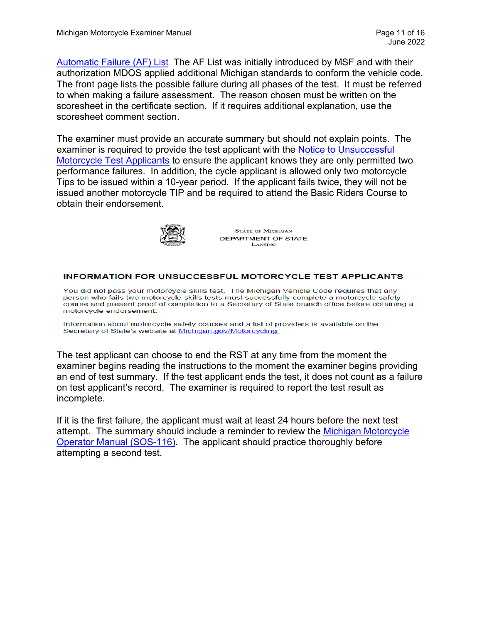[Automatic Failure \(AF\) List](https://www.michigan.gov/documents/sos/MI_RST_Automatic_Failures_List_690656_7.pdf) The AF List was initially introduced by MSF and with their authorization MDOS applied additional Michigan standards to conform the vehicle code. The front page lists the possible failure during all phases of the test. It must be referred to when making a failure assessment. The reason chosen must be written on the scoresheet in the certificate section. If it requires additional explanation, use the scoresheet comment section.

The examiner must provide an accurate summary but should not explain points. The examiner is required to provide the test applicant with the Notice to Unsuccessful [Motorcycle Test Applicants](https://www.michigan.gov/documents/sos/Notice_to_unsuccessful_motorcycle_test_applicants_358693_7.pdf) to ensure the applicant knows they are only permitted two performance failures. In addition, the cycle applicant is allowed only two motorcycle Tips to be issued within a 10-year period. If the applicant fails twice, they will not be issued another motorcycle TIP and be required to attend the Basic Riders Course to obtain their endorsement.



**STATE OF MICHIGAN** DEPARTMENT OF STATE LANSING

#### **INFORMATION FOR UNSUCCESSFUL MOTORCYCLE TEST APPLICANTS**

You did not pass your motorcycle skills test. The Michigan Vehicle Code requires that any person who fails two motorcycle skills tests must successfully complete a motorcycle safety course and present proof of completion to a Secretary of State branch office before obtaining a motorcycle endorsement

Information about motorcycle safety courses and a list of providers is available on the Secretary of State's website at Michigan.gov/Motorcycling.

The test applicant can choose to end the RST at any time from the moment the examiner begins reading the instructions to the moment the examiner begins providing an end of test summary. If the test applicant ends the test, it does not count as a failure on test applicant's record. The examiner is required to report the test result as incomplete.

If it is the first failure, the applicant must wait at least 24 hours before the next test attempt. The summary should include a reminder to review the [Michigan Motorcycle](https://www.michigan.gov/sos/0,4670,7-127-1627_11461_11794-181209--,00.html)  [Operator Manual \(SOS-116\).](https://www.michigan.gov/sos/0,4670,7-127-1627_11461_11794-181209--,00.html) The applicant should practice thoroughly before attempting a second test.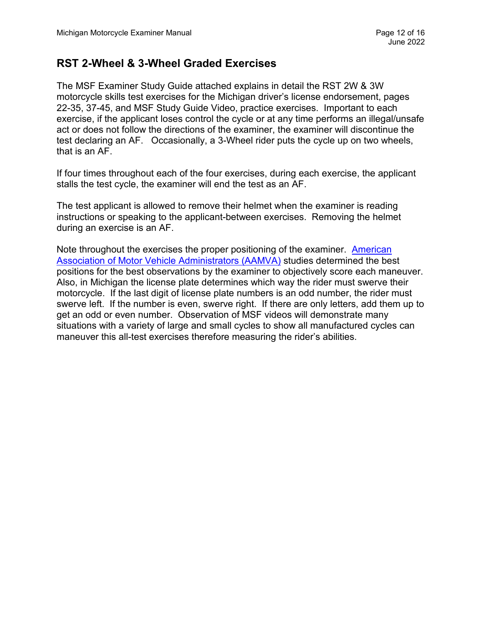## **RST 2-Wheel & 3-Wheel Graded Exercises**

The MSF Examiner Study Guide attached explains in detail the RST 2W & 3W motorcycle skills test exercises for the Michigan driver's license endorsement, pages 22-35, 37-45, and MSF Study Guide Video, practice exercises. Important to each exercise, if the applicant loses control the cycle or at any time performs an illegal/unsafe act or does not follow the directions of the examiner, the examiner will discontinue the test declaring an AF. Occasionally, a 3-Wheel rider puts the cycle up on two wheels, that is an AF.

If four times throughout each of the four exercises, during each exercise, the applicant stalls the test cycle, the examiner will end the test as an AF.

The test applicant is allowed to remove their helmet when the examiner is reading instructions or speaking to the applicant-between exercises. Removing the helmet during an exercise is an AF.

Note throughout the exercises the proper positioning of the examiner. [American](https://www.aamva.org/)  [Association of Motor Vehicle Administrators \(AAMVA\)](https://www.aamva.org/) studies determined the best positions for the best observations by the examiner to objectively score each maneuver. Also, in Michigan the license plate determines which way the rider must swerve their motorcycle. If the last digit of license plate numbers is an odd number, the rider must swerve left. If the number is even, swerve right. If there are only letters, add them up to get an odd or even number. Observation of MSF videos will demonstrate many situations with a variety of large and small cycles to show all manufactured cycles can maneuver this all-test exercises therefore measuring the rider's abilities.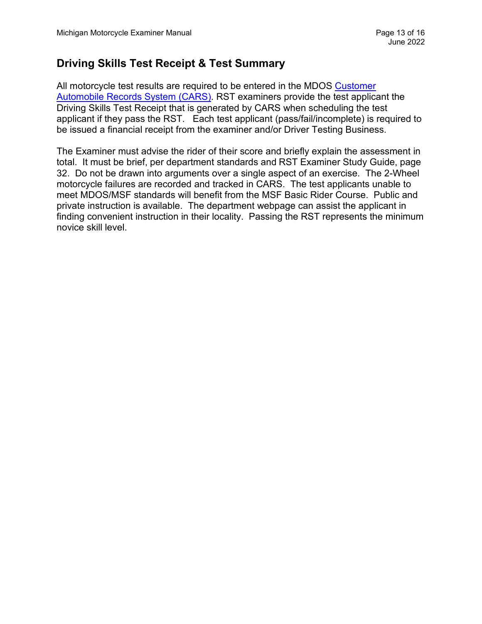# **Driving Skills Test Receipt & Test Summary**

All motorcycle test results are required to be entered in the MDOS Customer [Automobile Records System \(CARS\).](https://dsvsesvc.sos.state.mi.us/TAP/_/) RST examiners provide the test applicant the Driving Skills Test Receipt that is generated by CARS when scheduling the test applicant if they pass the RST. Each test applicant (pass/fail/incomplete) is required to be issued a financial receipt from the examiner and/or Driver Testing Business.

The Examiner must advise the rider of their score and briefly explain the assessment in total. It must be brief, per department standards and RST Examiner Study Guide, page 32. Do not be drawn into arguments over a single aspect of an exercise. The 2-Wheel motorcycle failures are recorded and tracked in CARS. The test applicants unable to meet MDOS/MSF standards will benefit from the MSF Basic Rider Course. Public and private instruction is available. The department webpage can assist the applicant in finding convenient instruction in their locality. Passing the RST represents the minimum novice skill level.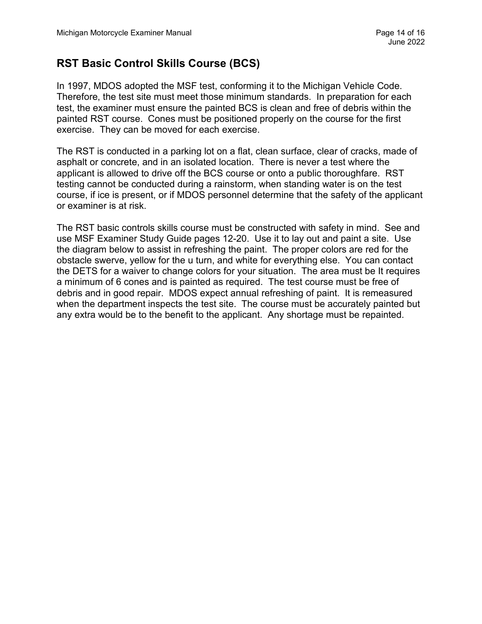# **RST Basic Control Skills Course (BCS)**

In 1997, MDOS adopted the MSF test, conforming it to the Michigan Vehicle Code. Therefore, the test site must meet those minimum standards. In preparation for each test, the examiner must ensure the painted BCS is clean and free of debris within the painted RST course. Cones must be positioned properly on the course for the first exercise. They can be moved for each exercise.

The RST is conducted in a parking lot on a flat, clean surface, clear of cracks, made of asphalt or concrete, and in an isolated location. There is never a test where the applicant is allowed to drive off the BCS course or onto a public thoroughfare. RST testing cannot be conducted during a rainstorm, when standing water is on the test course, if ice is present, or if MDOS personnel determine that the safety of the applicant or examiner is at risk.

The RST basic controls skills course must be constructed with safety in mind. See and use MSF Examiner Study Guide pages 12-20. Use it to lay out and paint a site. Use the diagram below to assist in refreshing the paint. The proper colors are red for the obstacle swerve, yellow for the u turn, and white for everything else. You can contact the DETS for a waiver to change colors for your situation. The area must be It requires a minimum of 6 cones and is painted as required. The test course must be free of debris and in good repair. MDOS expect annual refreshing of paint. It is remeasured when the department inspects the test site. The course must be accurately painted but any extra would be to the benefit to the applicant. Any shortage must be repainted.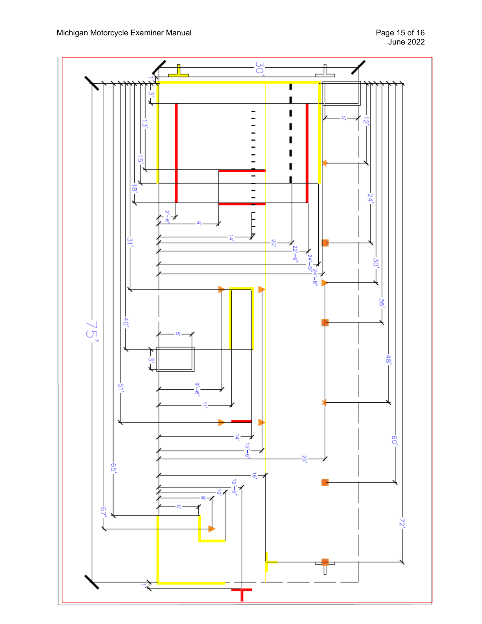Michigan Motorcycle Examiner Manual